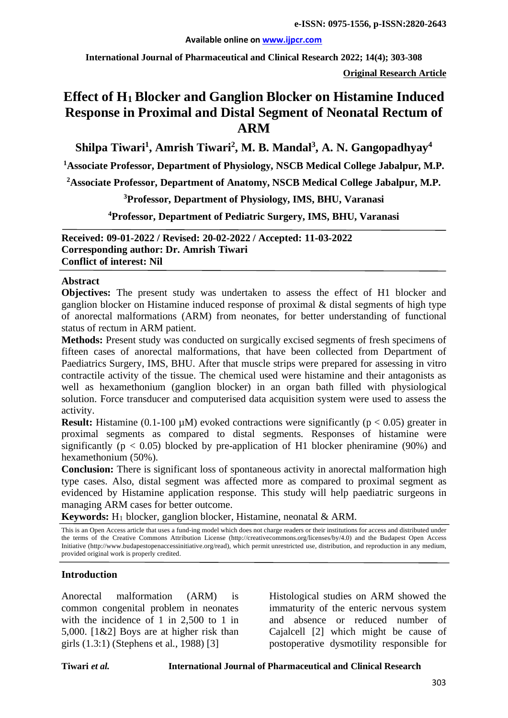#### **Available online on [www.ijpcr.com](http://www.ijpcr.com/)**

**International Journal of Pharmaceutical and Clinical Research 2022; 14(4); 303-308**

**Original Research Article**

# **Effect of H1 Blocker and Ganglion Blocker on Histamine Induced Response in Proximal and Distal Segment of Neonatal Rectum of ARM**

**Shilpa Tiwari1 , Amrish Tiwari2 , M. B. Mandal3 , A. N. Gangopadhyay4**

**1 Associate Professor, Department of Physiology, NSCB Medical College Jabalpur, M.P.**

**2 Associate Professor, Department of Anatomy, NSCB Medical College Jabalpur, M.P.**

**3 Professor, Department of Physiology, IMS, BHU, Varanasi**

**4 Professor, Department of Pediatric Surgery, IMS, BHU, Varanasi**

**Received: 09-01-2022 / Revised: 20-02-2022 / Accepted: 11-03-2022 Corresponding author: Dr. Amrish Tiwari Conflict of interest: Nil**

#### **Abstract**

**Objectives:** The present study was undertaken to assess the effect of H1 blocker and ganglion blocker on Histamine induced response of proximal & distal segments of high type of anorectal malformations (ARM) from neonates, for better understanding of functional status of rectum in ARM patient.

**Methods:** Present study was conducted on surgically excised segments of fresh specimens of fifteen cases of anorectal malformations, that have been collected from Department of Paediatrics Surgery, IMS, BHU. After that muscle strips were prepared for assessing in vitro contractile activity of the tissue. The chemical used were histamine and their antagonists as well as hexamethonium (ganglion blocker) in an organ bath filled with physiological solution. Force transducer and computerised data acquisition system were used to assess the activity.

**Result:** Histamine (0.1-100  $\mu$ M) evoked contractions were significantly ( $p < 0.05$ ) greater in proximal segments as compared to distal segments. Responses of histamine were significantly ( $p < 0.05$ ) blocked by pre-application of H1 blocker pheniramine (90%) and hexamethonium (50%).

**Conclusion:** There is significant loss of spontaneous activity in anorectal malformation high type cases. Also, distal segment was affected more as compared to proximal segment as evidenced by Histamine application response. This study will help paediatric surgeons in managing ARM cases for better outcome.

**Keywords:** H1 blocker, ganglion blocker, Histamine, neonatal & ARM.

This is an Open Access article that uses a fund-ing model which does not charge readers or their institutions for access and distributed under the terms of the Creative Commons Attribution License (http://creativecommons.org/licenses/by/4.0) and the Budapest Open Access Initiative (http://www.budapestopenaccessinitiative.org/read), which permit unrestricted use, distribution, and reproduction in any medium, provided original work is properly credited.

### **Introduction**

Anorectal malformation (ARM) is common congenital problem in neonates with the incidence of 1 in 2,500 to 1 in 5,000. [1&2] Boys are at higher risk than girls (1.3:1) (Stephens et al., 1988) [3]

Histological studies on ARM showed the immaturity of the enteric nervous system and absence or reduced number of Cajalcell [2] which might be cause of postoperative dysmotility responsible for

#### **Tiwari** *et al.* **International Journal of Pharmaceutical and Clinical Research**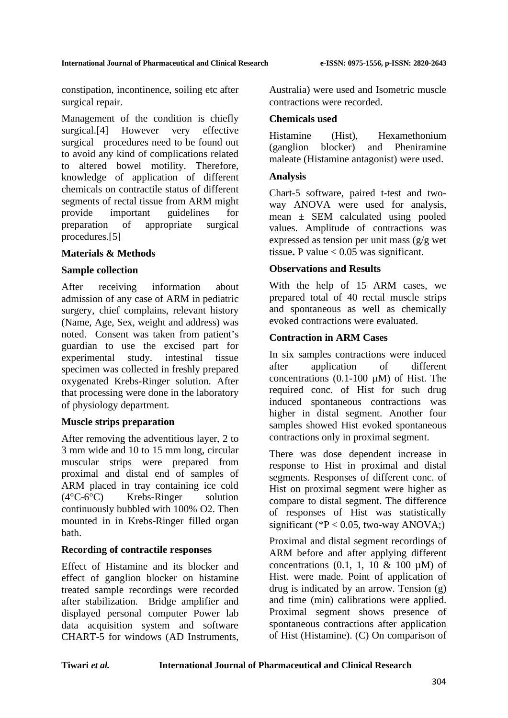constipation, incontinence, soiling etc after surgical repair.

Management of the condition is chiefly surgical.[4] However very effective surgical procedures need to be found out to avoid any kind of complications related to altered bowel motility. Therefore, knowledge of application of different chemicals on contractile status of different segments of rectal tissue from ARM might provide important guidelines for preparation of appropriate surgical procedures.[5]

### **Materials & Methods**

### **Sample collection**

After receiving information about admission of any case of ARM in pediatric surgery, chief complains, relevant history (Name, Age, Sex, weight and address) was noted. Consent was taken from patient's guardian to use the excised part for experimental study. intestinal tissue specimen was collected in freshly prepared oxygenated Krebs-Ringer solution. After that processing were done in the laboratory of physiology department.

## **Muscle strips preparation**

After removing the adventitious layer, 2 to 3 mm wide and 10 to 15 mm long, circular muscular strips were prepared from proximal and distal end of samples of ARM placed in tray containing ice cold (4°C-6°C) Krebs-Ringer solution continuously bubbled with 100% O2. Then mounted in in Krebs-Ringer filled organ bath.

## **Recording of contractile responses**

Effect of Histamine and its blocker and effect of ganglion blocker on histamine treated sample recordings were recorded after stabilization. Bridge amplifier and displayed personal computer Power lab data acquisition system and software CHART-5 for windows (AD Instruments, Australia) were used and Isometric muscle contractions were recorded.

## **Chemicals used**

Histamine (Hist), Hexamethonium (ganglion blocker) and Pheniramine maleate (Histamine antagonist) were used.

## **Analysis**

Chart-5 software, paired t-test and twoway ANOVA were used for analysis, mean ± SEM calculated using pooled values. Amplitude of contractions was expressed as tension per unit mass (g/g wet tissue. P value  $< 0.05$  was significant.

## **Observations and Results**

With the help of 15 ARM cases, we prepared total of 40 rectal muscle strips and spontaneous as well as chemically evoked contractions were evaluated.

### **Contraction in ARM Cases**

In six samples contractions were induced after application of different concentrations  $(0.1\n-100 \mu M)$  of Hist. The required conc. of Hist for such drug induced spontaneous contractions was higher in distal segment. Another four samples showed Hist evoked spontaneous contractions only in proximal segment.

There was dose dependent increase in response to Hist in proximal and distal segments. Responses of different conc. of Hist on proximal segment were higher as compare to distal segment. The difference of responses of Hist was statistically significant (\* $P < 0.05$ , two-way ANOVA;)

Proximal and distal segment recordings of ARM before and after applying different concentrations  $(0.1, 1, 10 \& 100 \text{ uM})$  of Hist. were made. Point of application of drug is indicated by an arrow. Tension (g) and time (min) calibrations were applied. Proximal segment shows presence of spontaneous contractions after application of Hist (Histamine). (C) On comparison of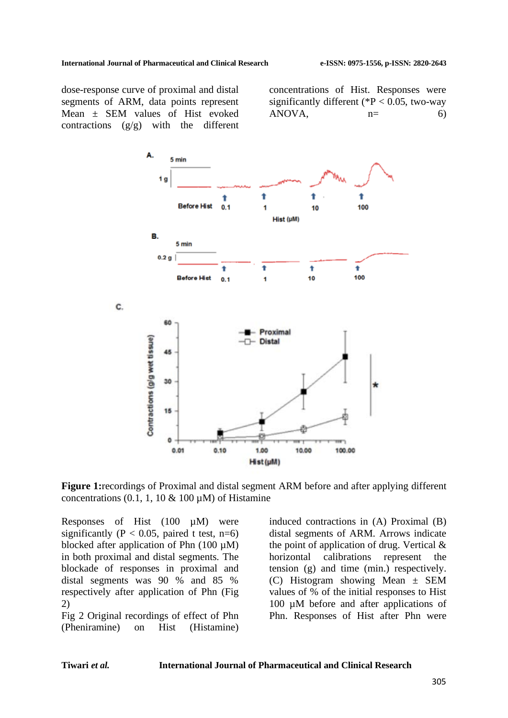dose-response curve of proximal and distal segments of ARM, data points represent Mean ± SEM values of Hist evoked contractions  $(g/g)$  with the different concentrations of Hist. Responses were significantly different ( $P < 0.05$ , two-way  $ANOVA$ ,  $n=$  6)



**Figure 1:**recordings of Proximal and distal segment ARM before and after applying different concentrations (0.1, 1, 10  $\&$  100  $\mu$ M) of Histamine

Responses of Hist (100 µM) were significantly ( $P < 0.05$ , paired t test, n=6) blocked after application of Phn  $(100 \mu M)$ in both proximal and distal segments. The blockade of responses in proximal and distal segments was 90 % and 85 % respectively after application of Phn (Fig 2)

Fig 2 Original recordings of effect of Phn (Pheniramine) on Hist (Histamine)

induced contractions in (A) Proximal (B) distal segments of ARM. Arrows indicate the point of application of drug. Vertical & horizontal calibrations represent the tension (g) and time (min.) respectively. (C) Histogram showing Mean ± SEM values of % of the initial responses to Hist 100 µM before and after applications of Phn. Responses of Hist after Phn were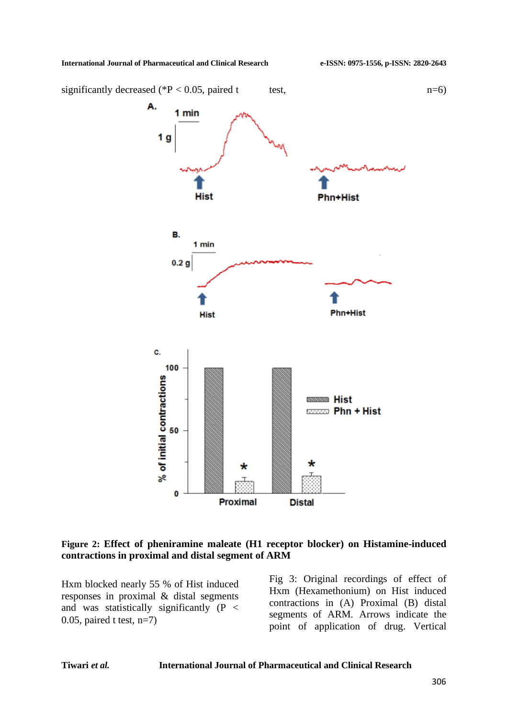

#### **Figure 2: Effect of pheniramine maleate (H1 receptor blocker) on Histamine-induced contractions in proximal and distal segment of ARM**

Hxm blocked nearly 55 % of Hist induced responses in proximal & distal segments and was statistically significantly (P < 0.05, paired t test,  $n=7$ )

Fig 3: Original recordings of effect of Hxm (Hexamethonium) on Hist induced contractions in (A) Proximal (B) distal segments of ARM. Arrows indicate the point of application of drug. Vertical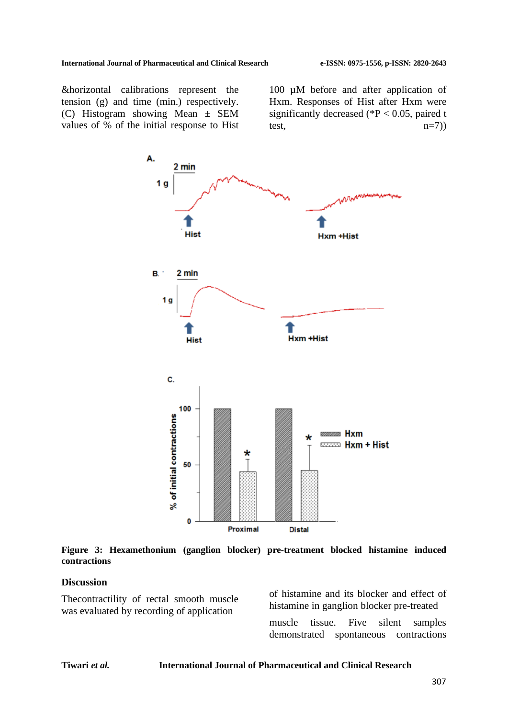&horizontal calibrations represent the tension (g) and time (min.) respectively. (C) Histogram showing Mean ± SEM values of % of the initial response to Hist

100 µM before and after application of Hxm. Responses of Hist after Hxm were significantly decreased ( $P < 0.05$ , paired t test,  $n=7$ )



**Figure 3: Hexamethonium (ganglion blocker) pre-treatment blocked histamine induced contractions**

#### **Discussion**

Thecontractility of rectal smooth muscle was evaluated by recording of application

of histamine and its blocker and effect of histamine in ganglion blocker pre-treated muscle tissue. Five silent samples demonstrated spontaneous contractions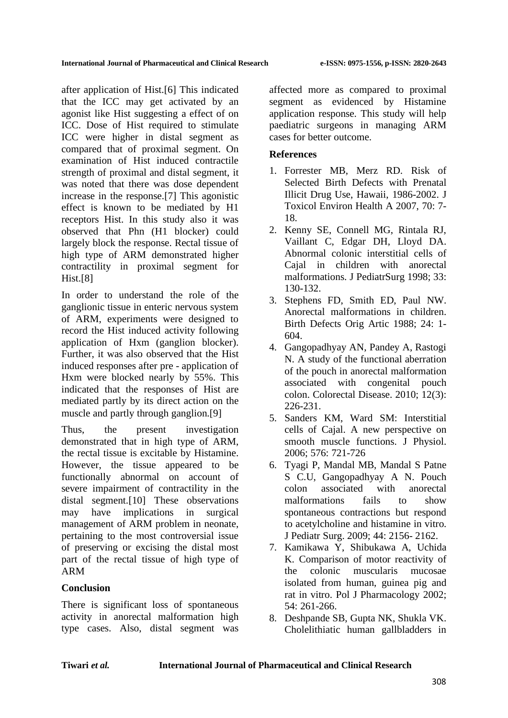after application of Hist.[6] This indicated that the ICC may get activated by an agonist like Hist suggesting a effect of on ICC. Dose of Hist required to stimulate ICC were higher in distal segment as compared that of proximal segment. On examination of Hist induced contractile strength of proximal and distal segment, it was noted that there was dose dependent increase in the response.[7] This agonistic effect is known to be mediated by H1 receptors Hist. In this study also it was observed that Phn (H1 blocker) could largely block the response. Rectal tissue of high type of ARM demonstrated higher contractility in proximal segment for Hist.[8]

In order to understand the role of the ganglionic tissue in enteric nervous system of ARM, experiments were designed to record the Hist induced activity following application of Hxm (ganglion blocker). Further, it was also observed that the Hist induced responses after pre - application of Hxm were blocked nearly by 55%. This indicated that the responses of Hist are mediated partly by its direct action on the muscle and partly through ganglion.[9]

Thus, the present investigation demonstrated that in high type of ARM, the rectal tissue is excitable by Histamine. However, the tissue appeared to be functionally abnormal on account of severe impairment of contractility in the distal segment.[10] These observations may have implications in surgical management of ARM problem in neonate, pertaining to the most controversial issue of preserving or excising the distal most part of the rectal tissue of high type of ARM

# **Conclusion**

There is significant loss of spontaneous activity in anorectal malformation high type cases. Also, distal segment was affected more as compared to proximal segment as evidenced by Histamine application response. This study will help paediatric surgeons in managing ARM cases for better outcome.

## **References**

- 1. Forrester MB, Merz RD. Risk of Selected Birth Defects with Prenatal Illicit Drug Use, Hawaii, 1986-2002. J Toxicol Environ Health A 2007, 70: 7- 18.
- 2. Kenny SE, Connell MG, Rintala RJ, Vaillant C, Edgar DH, Lloyd DA. Abnormal colonic interstitial cells of Cajal in children with anorectal malformations. J PediatrSurg 1998; 33: 130-132.
- 3. Stephens FD, Smith ED, Paul NW. Anorectal malformations in children. Birth Defects Orig Artic 1988; 24: 1- 604.
- 4. Gangopadhyay AN, Pandey A, Rastogi N. A study of the functional aberration of the pouch in anorectal malformation associated with congenital pouch colon. Colorectal Disease. 2010; 12(3): 226-231.
- 5. Sanders KM, Ward SM: Interstitial cells of Cajal. A new perspective on smooth muscle functions. J Physiol. 2006; 576: 721-726
- 6. Tyagi P, Mandal MB, Mandal S Patne S C.U, Gangopadhyay A N. Pouch colon associated with anorectal malformations fails to show spontaneous contractions but respond to acetylcholine and histamine in vitro. J Pediatr Surg. 2009; 44: 2156- 2162.
- 7. Kamikawa Y, Shibukawa A, Uchida K. Comparison of motor reactivity of the colonic muscularis mucosae isolated from human, guinea pig and rat in vitro. Pol J Pharmacology 2002; 54: 261-266.
- 8. Deshpande SB, Gupta NK, Shukla VK. Cholelithiatic human gallbladders in